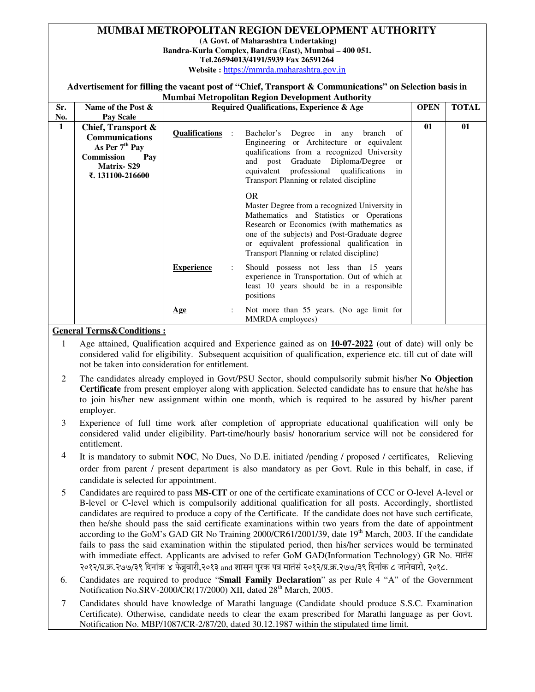#### **MUMBAI METROPOLITAN REGION DEVELOPMENT AUTHORITY**

 **(A Govt. of Maharashtra Undertaking)** 

**Bandra-Kurla Complex, Bandra (East), Mumbai – 400 051.** 

**Tel.26594013/4191/5939 Fax 26591264** 

**Website :** https://mmrda.maharashtra.gov.in

#### **Advertisement for filling the vacant post of "Chief, Transport & Communications" on Selection basis in Mumbai Metropolitan Region Development Authority**

|     |                                                                                                                                     |                                                      | нашой ніси оронин тедіон бетсіорінен тайногісу                                                                                                                                                                                                                                                    |             |              |
|-----|-------------------------------------------------------------------------------------------------------------------------------------|------------------------------------------------------|---------------------------------------------------------------------------------------------------------------------------------------------------------------------------------------------------------------------------------------------------------------------------------------------------|-------------|--------------|
| Sr. | Name of the Post &                                                                                                                  | <b>Required Qualifications, Experience &amp; Age</b> |                                                                                                                                                                                                                                                                                                   | <b>OPEN</b> | <b>TOTAL</b> |
| No. | Pay Scale                                                                                                                           |                                                      |                                                                                                                                                                                                                                                                                                   |             |              |
| 1   | Chief, Transport &<br><b>Communications</b><br>As Per $7th$ Pay<br><b>Commission</b><br>Pay<br><b>Matrix-S29</b><br>₹.131100-216600 | <b>Qualifications</b>                                | Bachelor's Degree in any<br>branch of<br>Engineering or Architecture or equivalent<br>qualifications from a recognized University<br>and post Graduate Diploma/Degree<br>$\alpha$<br>equivalent professional qualifications<br>in<br>Transport Planning or related discipline                     | 01          | 01           |
|     |                                                                                                                                     |                                                      | <b>OR</b><br>Master Degree from a recognized University in<br>Mathematics and Statistics or Operations<br>Research or Economics (with mathematics as<br>one of the subjects) and Post-Graduate degree<br>or equivalent professional qualification in<br>Transport Planning or related discipline) |             |              |
|     |                                                                                                                                     | <b>Experience</b>                                    | Should possess not less than 15 years<br>experience in Transportation. Out of which at<br>least 10 years should be in a responsible<br>positions                                                                                                                                                  |             |              |
|     |                                                                                                                                     | $\ddot{\cdot}$<br>Age                                | Not more than 55 years. (No age limit for<br>MMRDA employees)                                                                                                                                                                                                                                     |             |              |

#### **General Terms&Conditions :**

- 1 Age attained, Qualification acquired and Experience gained as on **10-07-2022** (out of date) will only be considered valid for eligibility. Subsequent acquisition of qualification, experience etc. till cut of date will not be taken into consideration for entitlement.
- 2 The candidates already employed in Govt/PSU Sector, should compulsorily submit his/her **No Objection Certificate** from present employer along with application. Selected candidate has to ensure that he/she has to join his/her new assignment within one month, which is required to be assured by his/her parent employer.
- 3 Experience of full time work after completion of appropriate educational qualification will only be considered valid under eligibility. Part-time/hourly basis/ honorarium service will not be considered for entitlement.
- 4 It is mandatory to submit **NOC**, No Dues, No D.E. initiated /pending / proposed / certificates, Relieving order from parent / present department is also mandatory as per Govt. Rule in this behalf, in case, if candidate is selected for appointment.
- 5 Candidates are required to pass **MS-CIT** or one of the certificate examinations of CCC or O-level A-level or B-level or C-level which is compulsorily additional qualification for all posts. Accordingly, shortlisted candidates are required to produce a copy of the Certificate. If the candidate does not have such certificate, then he/she should pass the said certificate examinations within two years from the date of appointment according to the GoM's GAD GR No Training 2000/CR61/2001/39, date 19<sup>th</sup> March, 2003. If the candidate fails to pass the said examination within the stipulated period, then his/her services would be terminated with immediate effect. Applicants are advised to refer GoM GAD(Information Technology) GR No. २०१२/प्र.क्र.२७७/३९ दिनांक ४ फेब्रुवारी,२०१३ and शासन पुरक पत्र मातंसं २०१२/प्र.क्र.२७७/३९ दिनांक ८ जानेवारी, २०१८.
- 6. Candidates are required to produce "**Small Family Declaration**" as per Rule 4 "A" of the Government Notification No.SRV-2000/CR $(17/2000)$  XII, dated  $28<sup>th</sup>$  March, 2005.
- 7 Candidates should have knowledge of Marathi language (Candidate should produce S.S.C. Examination Certificate). Otherwise, candidate needs to clear the exam prescribed for Marathi language as per Govt. Notification No. MBP/1087/CR-2/87/20, dated 30.12.1987 within the stipulated time limit.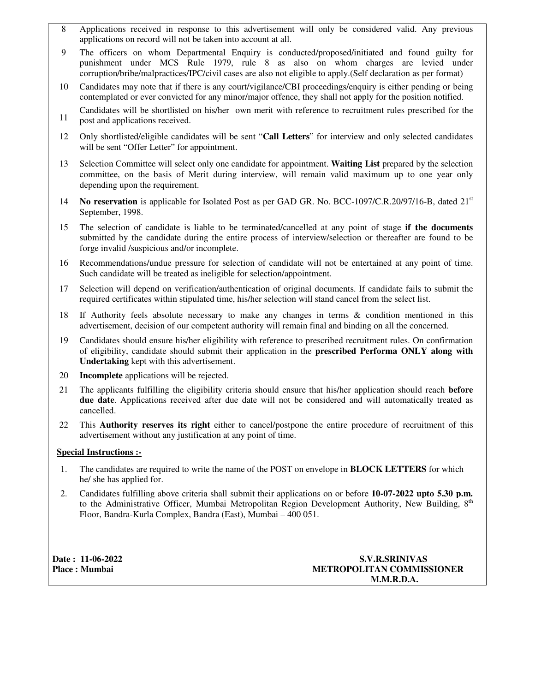- 8 Applications received in response to this advertisement will only be considered valid. Any previous applications on record will not be taken into account at all.
- 9 The officers on whom Departmental Enquiry is conducted/proposed/initiated and found guilty for punishment under MCS Rule 1979, rule 8 as also on whom charges are levied under corruption/bribe/malpractices/IPC/civil cases are also not eligible to apply.(Self declaration as per format)
- 10 Candidates may note that if there is any court/vigilance/CBI proceedings/enquiry is either pending or being contemplated or ever convicted for any minor/major offence, they shall not apply for the position notified.
- 11 Candidates will be shortlisted on his/her own merit with reference to recruitment rules prescribed for the post and applications received.
- 12 Only shortlisted/eligible candidates will be sent "**Call Letters**" for interview and only selected candidates will be sent "Offer Letter" for appointment.
- 13 Selection Committee will select only one candidate for appointment. **Waiting List** prepared by the selection committee, on the basis of Merit during interview, will remain valid maximum up to one year only depending upon the requirement.
- 14 **No reservation** is applicable for Isolated Post as per GAD GR. No. BCC-1097/C.R.20/97/16-B, dated 21st September, 1998.
- 15 The selection of candidate is liable to be terminated/cancelled at any point of stage **if the documents** submitted by the candidate during the entire process of interview/selection or thereafter are found to be forge invalid /suspicious and/or incomplete.
- 16 Recommendations/undue pressure for selection of candidate will not be entertained at any point of time. Such candidate will be treated as ineligible for selection/appointment.
- 17 Selection will depend on verification/authentication of original documents. If candidate fails to submit the required certificates within stipulated time, his/her selection will stand cancel from the select list.
- 18 If Authority feels absolute necessary to make any changes in terms & condition mentioned in this advertisement, decision of our competent authority will remain final and binding on all the concerned.
- 19 Candidates should ensure his/her eligibility with reference to prescribed recruitment rules. On confirmation of eligibility, candidate should submit their application in the **prescribed Performa ONLY along with Undertaking** kept with this advertisement.
- 20 **Incomplete** applications will be rejected.
- 21 The applicants fulfilling the eligibility criteria should ensure that his/her application should reach **before due date**. Applications received after due date will not be considered and will automatically treated as cancelled.
- 22 This **Authority reserves its right** either to cancel/postpone the entire procedure of recruitment of this advertisement without any justification at any point of time.

#### **Special Instructions :-**

- 1. The candidates are required to write the name of the POST on envelope in **BLOCK LETTERS** for which he/ she has applied for.
- 2. Candidates fulfilling above criteria shall submit their applications on or before **10-07-2022 upto 5.30 p.m.** to the Administrative Officer, Mumbai Metropolitan Region Development Authority, New Building, 8<sup>th</sup> Floor, Bandra-Kurla Complex, Bandra (East), Mumbai – 400 051.

**Date : 11-06-2022 S.V.R.SRINIVAS**  Place : Mumbai **METROPOLITAN COMMISSIONER M.M.R.D.A.**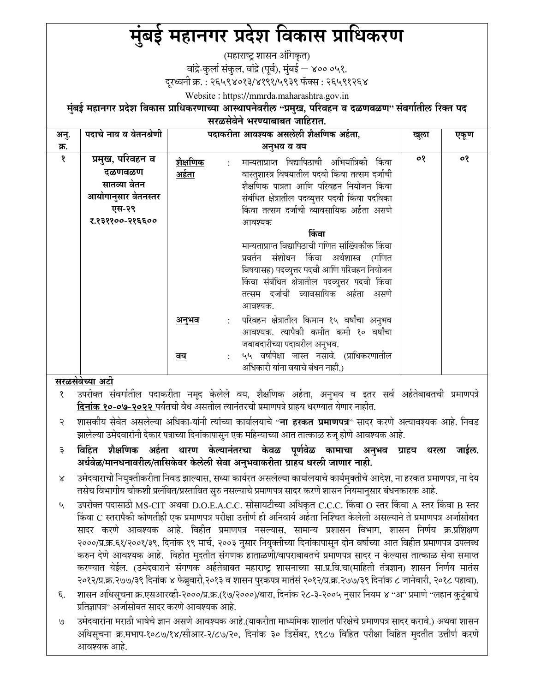# मुंबई महानगर प्रदेश विकास प्राधिकरण

(महाराष्ट्र शासन अंगिकृत)

वांद्रे-कुर्ला संकुल, वांद्रे (पूर्व), मुंबई — ४०० ०५१.

दरध्वनी क्र. : २६५९४०१३/४१९१/५९३९ फॅक्स : २६५९१२६४

Website: https://mmrda.maharashtra.gov.in

मुंबई महानगर प्रदेश विकास प्राधिकरणाच्या आस्थापनेवरील ''प्रमुख, परिवहन व दळणवळण'' संवर्गातील रिक्त पद सरळसेवेने भरण्याबाबत जाहिरात

| $\mathcal{L}(\mathcal{L}(\mathcal{L}) \cup \mathcal{L}(\mathcal{L}) \cup \mathcal{L}(\mathcal{L}(\mathcal{L})) \cup \mathcal{L}(\mathcal{L}(\mathcal{L}(\mathcal{L})))$ |                        |                                                                    |      |      |  |  |
|-------------------------------------------------------------------------------------------------------------------------------------------------------------------------|------------------------|--------------------------------------------------------------------|------|------|--|--|
| अनु.                                                                                                                                                                    | पदाचे नाव व वेतनश्रेणी | पदाकरीता आवश्यक असलेली शैक्षणिक अर्हता,                            | खुला | एकूण |  |  |
| क्र.                                                                                                                                                                    |                        | अनुभव व वय                                                         |      |      |  |  |
| १                                                                                                                                                                       | प्रमुख, परिवहन व       | <u> शैक्षणिक</u><br>मान्यताप्राप्त विद्यापिठाची अभियांत्रिकी किंवा | ०१   | ०१   |  |  |
|                                                                                                                                                                         | दळणवळण                 | <u>अर्हता</u><br>वास्तुशास्त्र विषयातील पदवी किंवा तत्सम दर्जाची   |      |      |  |  |
|                                                                                                                                                                         | सातव्या वेतन           | शैक्षणिक पात्रता आणि परिवहन नियोजन किंवा                           |      |      |  |  |
|                                                                                                                                                                         | आयोगानुसार वेतनस्तर    | संबंधित क्षेत्रातील पदव्युत्तर पदवी किंवा पदविका                   |      |      |  |  |
|                                                                                                                                                                         | एस-२९                  | किंवा तत्सम दर्जाची व्यावसायिक अर्हता असणे                         |      |      |  |  |
|                                                                                                                                                                         | र.१३११००-२१६६००        | आवश्यक                                                             |      |      |  |  |
|                                                                                                                                                                         |                        | किंवा                                                              |      |      |  |  |
|                                                                                                                                                                         |                        | मान्यताप्राप्त विद्यापिठाची गणित सांख्यिकीक किंवा                  |      |      |  |  |
|                                                                                                                                                                         |                        | प्रवर्तन संशोधन किंवा अर्थशास्त्र (गणित                            |      |      |  |  |
|                                                                                                                                                                         |                        | विषयासह) पदव्युत्तर पदवी आणि परिवहन नियोजन                         |      |      |  |  |
|                                                                                                                                                                         |                        | किंवा संबंधित क्षेत्रातील पदव्युत्तर पदवी किंवा                    |      |      |  |  |
|                                                                                                                                                                         |                        | तत्सम दर्जाची व्यावसायिक अर्हता असणे                               |      |      |  |  |
|                                                                                                                                                                         |                        | आवश्यक.                                                            |      |      |  |  |
|                                                                                                                                                                         |                        | परिवहन क्षेत्रातील किमान १५ वर्षांचा अनुभव<br><u>अनुभव</u>         |      |      |  |  |
|                                                                                                                                                                         |                        | आवश्यक. त्यापैकी कमीत कमी १० वर्षांचा                              |      |      |  |  |
|                                                                                                                                                                         |                        | जबाबदारीच्या पदावरील अनुभव.                                        |      |      |  |  |
|                                                                                                                                                                         |                        | ५५ वर्षापेक्षा जास्त नसावे. (प्राधिकरणातील<br><u>वय</u>            |      |      |  |  |
|                                                                                                                                                                         |                        | अधिकारी यांना वयाचे बंधन नाही.)                                    |      |      |  |  |

## <u>सरळसेवेच्या </u>अटी

उपरोक्त संवर्गातील पदाकरीता नमूद केलेले वय, शैक्षणिक अर्हता, अनुभव व इतर सर्व अर्हतेबाबतची प्रमाणपत्रे दिनांक १०-०७-२०२२ पर्यंतची वैध असतील त्यानंतरची प्रमाणपत्रे ग्राहय धरण्यात येणार नाहीत.

- शासकीय सेवेत असलेल्या अधिका-यांनी त्यांच्या कार्यालयाचे ''**ना हरकत प्रमाणपत्र**'' सादर करणे अत्यावश्यक आहे. निवड २ झालेल्या उमेदवारांनी देकार पत्राच्या दिनांकापासुन एक महिन्याच्या आत तात्काळ रुजू होणे आवश्यक आहे.
- विहित शैक्षणिक अर्हता धारण केल्यानंतरचा केवळ पूर्णवेळ कामाचा अनुभव ग्राहय धरला जाईल.  $\overline{\mathbf{3}}$ अर्धवेळ/मानधनावरील/तासिकेवर केलेली सेवा अनुभवाकरीता ग्राहय धरली जाणार नाही.
- उमेदवाराची नियुक्तीकरीता निवड झाल्यास, सध्या कार्यरत असलेल्या कार्यालयाचे कार्यमुक्तीचे आदेश, ना हरकत प्रमाणपत्र, ना देय  $\overline{\mathsf{x}}$ तसेच विभागीय चौकशी प्रलंबित/प्रस्तावित सुरु नसल्याचे प्रमाणपत्र सादर करणे शासन नियमानुसार बंधनकारक आहे.
- зपरोक्त पदासाठी MS-CIT अथवा D.O.E.A.C.C. सोसायटीच्या अधिकृत C.C.C. किंवा O स्तर किंवा A स्तर किंवा B स्तर  $\mathcal{L}_{\mathcal{A}}$ किंवा C स्तरापैकी कोणतीही एक प्रमाणपत्र परीक्षा उत्तीर्ण ही अनिवार्य अर्हता निश्चित केलेली असल्याने ते प्रमाणपत्र अर्जासोबत सादर करणे आवश्यक आहे. विहीत प्रमाणपत्र नसल्यास, सामान्य प्रशासन विभाग, शासन निर्णय क्र.प्रशिक्षण २०००/प्र.क्र.६१/२००१/३९, दिनांक १९ मार्च, २००३ नुसार नियुक्तीच्या दिनांकापासून दोन वर्षाच्या आत विहीत प्रमाणपत्र उपलब्ध करुन देणे आवश्यक आहे. विहीत मुदतीत संगणक हाताळणी/वापराबाबतचे प्रमाणपत्र सादर न केल्यास तात्काळ सेवा समाप्त करण्यात येईल. (उमेदवाराने संगणक अर्हतेबाबत महाराष्ट्र शासनाच्या सा.प्र.वि.चा(माहिती तंत्रज्ञान) शासन निर्णय मातंस २०१२/प्र.क्र.२७७/३९ दिनांक ४ फेब्रुवारी,२०१३ व शासन पुरकपत्र मातंसं २०१२/प्र.क्र.२७७/३९ दिनांक ८ जानेवारी, २०१८ पहावा).
- ६. शासन अधिसूचना क्र.एसआरव्ही-२०००/प्र.क्र.(१७/२०००)/बारा, दिनांक २८-३-२००५ नुसार नियम ४ "अ" प्रमाणे "लहान कुटुंबाचे प्रतिज्ञापत्र" अर्जासोबत सादर करणे आवश्यक आहे.
- उमेदवारांना मराठी भाषेचे ज्ञान असणे आवश्यक आहे.(याकरीता माध्यमिक शालांत परिक्षेचे प्रमाणपत्र सादर करावे.) अथवा शासन  $\mathcal{O}$ अधिसूचना क्र.मभाप-१०८७/१४/सीआर-२/८७/२०, दिनांक ३० डिसेंबर, १९८७ विहित परीक्षा विहित मुदतीत उत्तीर्ण करणे आवश्यक आहे.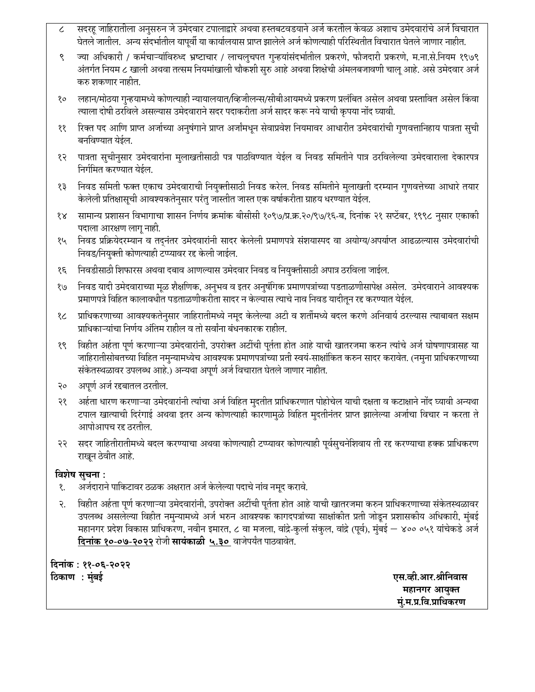- सदरहू जाहिरातीला अनुसरुन जे उमेदवार टपालाद्वारे अथवा हस्तबटवडयाने अर्ज करतील केवळ अशाच उमेदवारांचे अर्ज विचारात  $\boldsymbol{\mathcal{L}}$ घेतले जातील. अन्य संदर्भातील यापूर्वी या कार्यालयास प्राप्त झालेले अर्ज कोणत्याही परिस्थितीत विचारात घेतले जाणार नाहीत.
- ज्या अधिकारी / कर्मचाऱ्यांविरुध्द भ्रष्टाचार / लाचलुचपत गुन्हयांसंदर्भातील प्रकरणे, फौजदारी प्रकरणे, म.ना.से.नियम १९७९ ९ अंतर्गत नियम ८ खाली अथवा तत्सम नियमांखाली चौकशी सुरु आहे अथवा शिक्षेची अंमलबजावणी चालू आहे. असे उमेदवार अर्ज करु शकणार नाहीत.
- लहान/मोठया गुन्हयामध्ये कोणत्याही न्यायालयात/व्हिजीलन्स/सीबीआयमध्ये प्रकरण प्रलंबित असेल अथवा प्रस्तावित असेल किंवा  $80^{\circ}$ त्याला दोषी ठरविले असल्यास उमेदवाराने सदर पदाकरीता अर्ज सादर करू नये याची कृपया नोंद घ्यावी.
- रिक्त पद आणि प्राप्त अर्जाच्या अनुषंगाने प्राप्त अर्जांमधून सेवाप्रवेश नियमावर आधारीत उमेदवारांची गुणवत्तानिहाय पात्रता सुची ११ बनविण्यात येईल.
- पात्रता सूचीनुसार उमेदवारांना मुलाखतीसाठी पत्र पाठविण्यात येईल व निवड समितीने पात्र ठरविलेल्या उमेदवाराला देकारपत्र १२ निर्गमित करण्यात येईल
- निवड समिती फक्त एकाच उमेदवाराची नियुक्तीसाठी निवड करेल. निवड समितीने मुलाखती दरम्यान गुणवत्तेच्या आधारे तयार १३ केलेली प्रतिक्षासूची आवश्यकतेनुसार परंतु जास्तीत जास्त एक वर्षाकरीता ग्राहय धरण्यात येईल.
- सामान्य प्रशासन विभागाचा शासन निर्णय क्रमांक बीसीसी १०९७/प्र.क्र.२०/९७/१६-ब, दिनांक २१ सप्टेंबर, १९९८ नुसार एकाकी  $\delta$ पदाला आरक्षण लागू नाही.
- निवड प्रक्रियेदरम्यान व तदनंतर उमेदवारांनी सादर केलेली प्रमाणपत्रे संशयास्पद वा अयोग्य/अपर्याप्त आढळल्यास उमेदवारांची १५ निवड/नियुक्ती कोणत्याही टप्प्यावर रद्द केली जाईल.
- निवडीसाठी शिफारस अथवा दबाव आणल्यास उमेदवार निवड व नियुक्तीसाठी अपात्र ठरविला जाईल. १६
- निवड यादी उमेदवाराच्या मूळ शैक्षणिक, अनुभव व इतर अनुषंगिक प्रमाणपत्रांच्या पडताळणीसापेक्ष असेल. उमेदवाराने आवश्यक<br>प्रमाणपत्रे विहित कालावधीत पडताळणीकरीता सादर न केल्यास त्याचे नाव निवड यादीतून रद्द करण्यात येईल.  $e/8$
- प्राधिकरणाच्या आवश्यकतेनुसार जाहिरातीमध्ये नमूद केलेल्या अटी व शर्तीमध्ये बदल करणे अनिवार्य ठरल्यास त्याबाबत सक्षम  $8<sub>c</sub>$ प्राधिकाऱ्यांचा निर्णय अंतिम राहील व तो सर्वांना बंधनकारक राहील.
- विहीत अर्हता पूर्ण करणाऱ्या उमेदवारांनी, उपरोक्त अटींची पूर्तता होत आहे याची खातरजमा करुन त्यांचे अर्ज घोषणापत्रासह या १९ जाहिरातीसोबतच्या विहित नमुन्यामध्येच आवश्यक प्रमाणपत्रांच्या प्रती स्वयं-साक्षांकित करुन सादर करावेत. (नमुना प्राधिकरणाच्या संकेतस्थळावर उपलब्ध आहे.) अन्यथा अपूर्ण अर्ज विचारात घेतले जाणार नाहीत.
- अपूर्ण अर्ज रद्दबातल ठरतील. २०
- अर्हता धारण करणाऱ्या उमेदवारांनी त्यांचा अर्ज विहित मुदतीत प्राधिकरणात पोहोचेल याची दक्षता व कटाक्षाने नोंद घ्यावी अन्यथा २१ टपाल खात्याची दिरंगाई अथवा इतर अन्य कोणत्याही कारणामूळे विहित मुदतीनंतर प्राप्त झालेल्या अर्जाचा विचार न करता ते आपोआपच रह ठरतील.
- सदर जाहितीरातीमध्ये बदल करण्याचा अथवा कोणत्याही टप्प्यावर कोणत्याही पूर्वसुचनेशिवाय ती रद्द करण्याचा हक्क प्राधिकरण २२ राखून ठेवीत आहे.

## विशेष सुचना:

- अर्जदाराने पाकिटावर ठळक अक्षरात अर्ज केलेल्या पदाचे नांव नमुद करावे. १.
- विहीत अर्हता पूर्ण करणाऱ्या उमेदवारांनी, उपरोक्त अटींची पूर्तता होत आहे याची खातरजमा करुन प्राधिकरणाच्या संकेतस्थळावर २. उपलब्ध असलेल्या विहीत नमुन्यामध्ये अर्ज भरुन आवश्यक कागदपत्रांच्या साक्षांकीत प्रती जोडून प्रशासकीय अधिकारी, मुंबई महानगर प्रदेश विकास प्राधिकरण, नवीन इमारत, ८ वा मजला, वांद्रे-कुर्ला संकुल, वांद्रे (पूर्व), मुंबई — ४०० ०५१ यांचेकडे अर्ज दिनांक १०-०७-२०२२ रोजी सायंकाळी ५.३० वाजेपर्यंत पाठवावेत.

दिनांक : ११-०६-२०२२ ठिकाण : मुंबई

एस.व्ही.आर.श्रीनिवास महानगर आयुक्त मं.म.प्र.वि.प्राधिकरण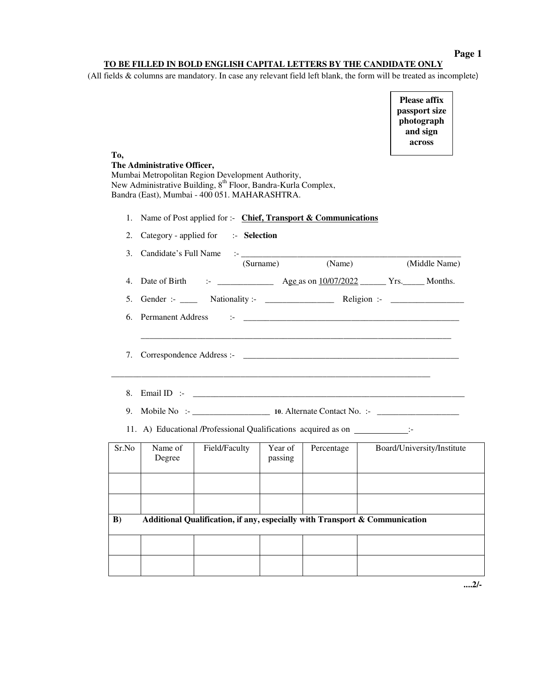**Page 1** 

## **TO BE FILLED IN BOLD ENGLISH CAPITAL LETTERS BY THE CANDIDATE ONLY**

(All fields & columns are mandatory. In case any relevant field left blank, the form will be treated as incomplete)

**Please affix passport size photograph and sign across** 

| Tо,      | The Administrative Officer,<br>Mumbai Metropolitan Region Development Authority,<br>New Administrative Building, 8 <sup>th</sup> Floor, Bandra-Kurla Complex,<br>Bandra (East), Mumbai - 400 051. MAHARASHTRA. |               |                                                                       |                                                                             | across                                                                                                 |
|----------|----------------------------------------------------------------------------------------------------------------------------------------------------------------------------------------------------------------|---------------|-----------------------------------------------------------------------|-----------------------------------------------------------------------------|--------------------------------------------------------------------------------------------------------|
| 1.       | Name of Post applied for :- Chief, Transport & Communications                                                                                                                                                  |               |                                                                       |                                                                             |                                                                                                        |
| 2.       | Category - applied for :- Selection                                                                                                                                                                            |               |                                                                       |                                                                             |                                                                                                        |
| 3.       | Candidate's Full Name                                                                                                                                                                                          |               | 1992 <u>- Jan Jawa Barnett, prima po</u> litik politik (<br>(Surname) | (Name)                                                                      | (Middle Name)                                                                                          |
| 4.       |                                                                                                                                                                                                                |               |                                                                       |                                                                             |                                                                                                        |
| 5.       |                                                                                                                                                                                                                |               |                                                                       |                                                                             | Gender :- $\_\_\_\_\_\$ Nationality :- $\_\_\_\_\_\_\_\_\_\$ Religion :- $\_\_\_\_\_\_\_\_\_\_\_\_\_\$ |
| 6.       | <b>Permanent Address</b>                                                                                                                                                                                       |               |                                                                       | 1- 10 million and <u>component and contact the component of</u>             |                                                                                                        |
| 7.<br>8. |                                                                                                                                                                                                                |               |                                                                       |                                                                             |                                                                                                        |
| 9.       |                                                                                                                                                                                                                |               |                                                                       |                                                                             | Mobile No :- 10. Alternate Contact No. :-                                                              |
|          | 11. A) Educational /Professional Qualifications acquired as on ________________:-                                                                                                                              |               |                                                                       |                                                                             |                                                                                                        |
| Sr.No    | Name of<br>Degree                                                                                                                                                                                              | Field/Faculty | Year of<br>passing                                                    | Percentage                                                                  | Board/University/Institute                                                                             |
|          |                                                                                                                                                                                                                |               |                                                                       |                                                                             |                                                                                                        |
|          |                                                                                                                                                                                                                |               |                                                                       |                                                                             |                                                                                                        |
| $\bf{B}$ |                                                                                                                                                                                                                |               |                                                                       | Additional Qualification, if any, especially with Transport & Communication |                                                                                                        |
|          |                                                                                                                                                                                                                |               |                                                                       |                                                                             |                                                                                                        |
|          |                                                                                                                                                                                                                |               |                                                                       |                                                                             |                                                                                                        |

**....2/-**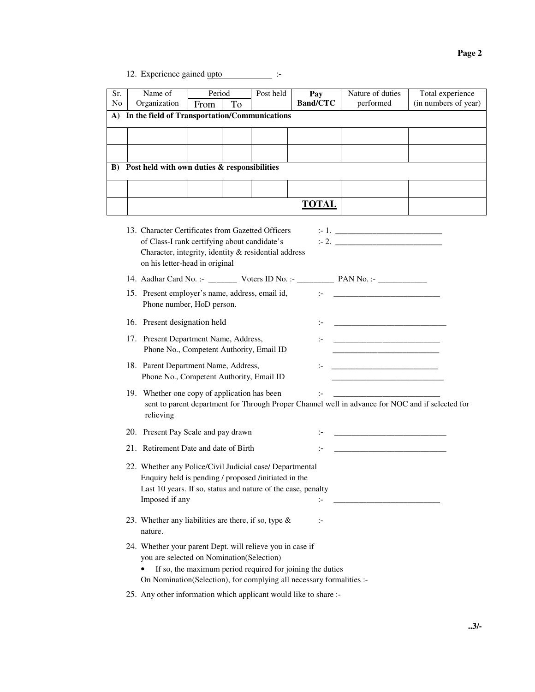12. Experience gained upto :-

| Sr.            | Name of                                                    | Period |    | Post held | Pay             | Nature of duties | Total experience     |
|----------------|------------------------------------------------------------|--------|----|-----------|-----------------|------------------|----------------------|
| N <sub>o</sub> | Organization                                               | From   | To |           | <b>Band/CTC</b> | performed        | (in numbers of year) |
|                | A) In the field of Transportation/Communications           |        |    |           |                 |                  |                      |
|                |                                                            |        |    |           |                 |                  |                      |
|                |                                                            |        |    |           |                 |                  |                      |
|                | B) Post held with own duties & responsibilities            |        |    |           |                 |                  |                      |
|                |                                                            |        |    |           |                 |                  |                      |
|                | TOTAL                                                      |        |    |           |                 |                  |                      |
|                | 13. Character Certificates from Gazetted Officers<br>$-1.$ |        |    |           |                 |                  |                      |

| 15. Character Centricates from Gazetteu Officers<br>of Class-I rank certifying about candidate's<br>Character, integrity, identity & residential address<br>on his letter-head in original         |              |                                                                                                                                                                           |
|----------------------------------------------------------------------------------------------------------------------------------------------------------------------------------------------------|--------------|---------------------------------------------------------------------------------------------------------------------------------------------------------------------------|
|                                                                                                                                                                                                    |              |                                                                                                                                                                           |
| 15. Present employer's name, address, email id,<br>Phone number, HoD person.                                                                                                                       |              | te a series and the series of the series of                                                                                                                               |
| 16. Present designation held                                                                                                                                                                       |              | <u> 1980 - Jan Barnett, fransk kongresu og den forske forskellige og det forskellige og det forskellige og det f</u>                                                      |
| 17. Present Department Name, Address,<br>Phone No., Competent Authority, Email ID                                                                                                                  |              | <u> 1980 - Johann Barbara, martxa alemaniar a</u><br><u> 1989 - Johann Barn, mars eta bainar eta bainar eta baina eta baina eta baina eta baina eta baina eta baina e</u> |
| 18. Parent Department Name, Address,<br>Phone No., Competent Authority, Email ID                                                                                                                   |              | <u> 1990 - Johann Barbara, martin a</u>                                                                                                                                   |
| 19. Whether one copy of application has been<br>sent to parent department for Through Proper Channel well in advance for NOC and if selected for<br>relieving                                      |              |                                                                                                                                                                           |
| 20. Present Pay Scale and pay drawn                                                                                                                                                                |              |                                                                                                                                                                           |
| 21. Retirement Date and date of Birth                                                                                                                                                              |              |                                                                                                                                                                           |
| 22. Whether any Police/Civil Judicial case/ Departmental<br>Enquiry held is pending / proposed /initiated in the<br>Last 10 years. If so, status and nature of the case, penalty<br>Imposed if any |              |                                                                                                                                                                           |
| 23. Whether any liabilities are there, if so, type $\&$<br>nature.                                                                                                                                 | $\mathbf{I}$ |                                                                                                                                                                           |
| 24. Whether your parent Dept. will relieve you in case if                                                                                                                                          |              |                                                                                                                                                                           |

you are selected on Nomination(Selection)

- If so, the maximum period required for joining the duties On Nomination(Selection), for complying all necessary formalities :-
- 25. Any other information which applicant would like to share :-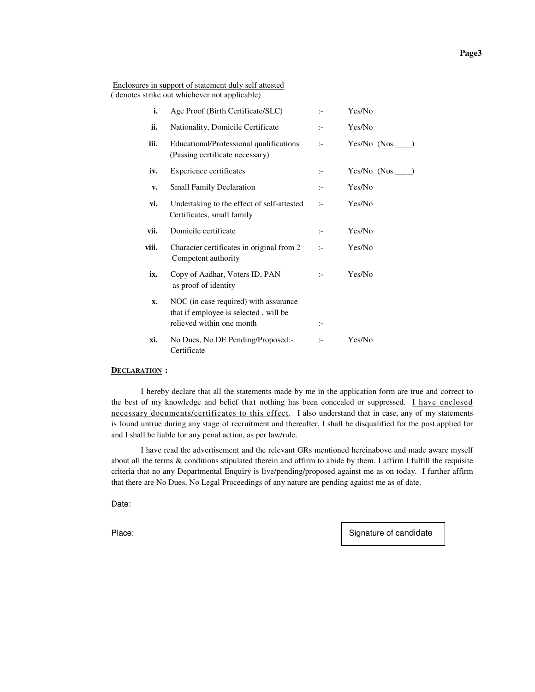Enclosures in support of statement duly self attested ( denotes strike out whichever not applicable)

| i.    | Age Proof (Birth Certificate/SLC)                                                                           | $\mathbf{I}$   | Yes/No         |
|-------|-------------------------------------------------------------------------------------------------------------|----------------|----------------|
| ii.   | Nationality, Domicile Certificate                                                                           | $\mathbf{I}$   | Yes/No         |
| iii.  | Educational/Professional qualifications<br>(Passing certificate necessary)                                  | $\mathbb{I}$   | Yes/No $(Nos.$ |
| iv.   | Experience certificates                                                                                     | $\mathcal{I}$  | Yes/No (Nos.   |
| v.    | <b>Small Family Declaration</b>                                                                             | $\mathbf{I}$   | Yes/No         |
| vi.   | Undertaking to the effect of self-attested<br>Certificates, small family                                    | $\mathbb{I}$   | Yes/No         |
| vii.  | Domicile certificate                                                                                        | $\mathbb{I}^-$ | Yes/No         |
| viii. | Character certificates in original from 2<br>Competent authority                                            | $\mathbf{I}$   | Yes/No         |
| ix.   | Copy of Aadhar, Voters ID, PAN<br>as proof of identity                                                      | $\mathbf{L}$   | Yes/No         |
| X.    | NOC (in case required) with assurance<br>that if employee is selected, will be<br>relieved within one month | $\mathbb{I}$   |                |
| xi.   | No Dues, No DE Pending/Proposed:-<br>Certificate                                                            | $\mathcal{I}$  | Yes/No         |

#### **DECLARATION :**

I hereby declare that all the statements made by me in the application form are true and correct to the best of my knowledge and belief that nothing has been concealed or suppressed. I have enclosed necessary documents/certificates to this effect. I also understand that in case, any of my statements is found untrue during any stage of recruitment and thereafter, I shall be disqualified for the post applied for and I shall be liable for any penal action, as per law/rule.

I have read the advertisement and the relevant GRs mentioned hereinabove and made aware myself about all the terms & conditions stipulated therein and affirm to abide by them. I affirm I fulfill the requisite criteria that no any Departmental Enquiry is live/pending/proposed against me as on today. I further affirm that there are No Dues, No Legal Proceedings of any nature are pending against me as of date.

Date:

Place: Signature of candidate  $\vert$  Signature of candidate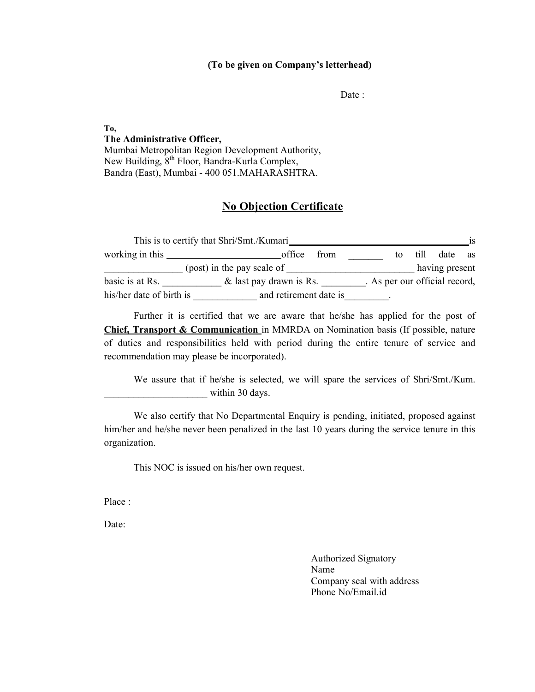#### (To be given on Company's letterhead)

Date :

## To, The Administrative Officer,

Mumbai Metropolitan Region Development Authority, New Building,  $8^{th}$  Floor, Bandra-Kurla Complex, Bandra (East), Mumbai - 400 051.MAHARASHTRA.

## No Objection Certificate

|                          | This is to certify that Shri/Smt./Kumari_ |                               |                | 1S |
|--------------------------|-------------------------------------------|-------------------------------|----------------|----|
| working in this          | from<br>office                            | to                            | till date as   |    |
|                          | (post) in the pay scale of                |                               | having present |    |
| basic is at Rs.          | & last pay drawn is Rs.                   | . As per our official record, |                |    |
| his/her date of birth is | and retirement date is                    |                               |                |    |

Further it is certified that we are aware that he/she has applied for the post of Chief, Transport & Communication in MMRDA on Nomination basis (If possible, nature of duties and responsibilities held with period during the entire tenure of service and recommendation may please be incorporated).

We assure that if he/she is selected, we will spare the services of Shri/Smt./Kum. within 30 days.

We also certify that No Departmental Enquiry is pending, initiated, proposed against him/her and he/she never been penalized in the last 10 years during the service tenure in this organization.

This NOC is issued on his/her own request.

Place :

Date:

Authorized Signatory Name Company seal with address Phone No/Email.id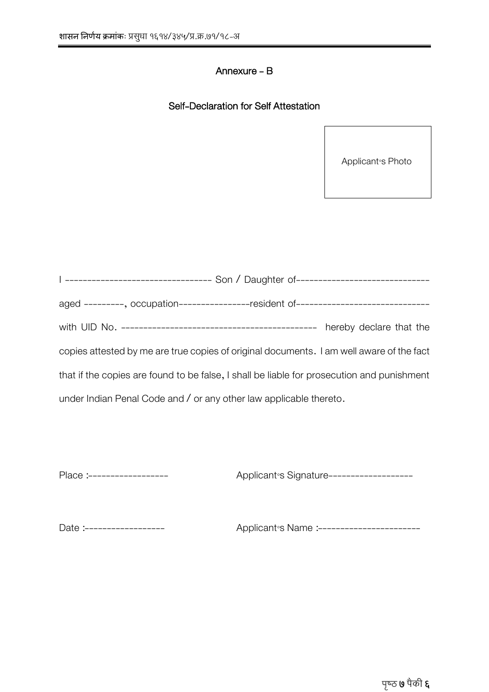## Annexure - B

## Self-Declaration for Self Attestation

Applicant<sup>®</sup>s Photo

|                                                                    | I -------------------------------- Son / Daughter of-----------------------------          |
|--------------------------------------------------------------------|--------------------------------------------------------------------------------------------|
|                                                                    | aged ---------, occupation----------------resident of------------------------------        |
|                                                                    |                                                                                            |
|                                                                    | copies attested by me are true copies of original documents. I am well aware of the fact   |
|                                                                    | that if the copies are found to be false, I shall be liable for prosecution and punishment |
| under Indian Penal Code and / or any other law applicable thereto. |                                                                                            |

Place :------------------ Aʃʃɿɼcaʁʇ'ʆ Sɼɺʁaʇʈʅe-------------------

Date :------------------ Aʃʃɿɼcaʁʇ'ʆ Naʀe :-----------------------